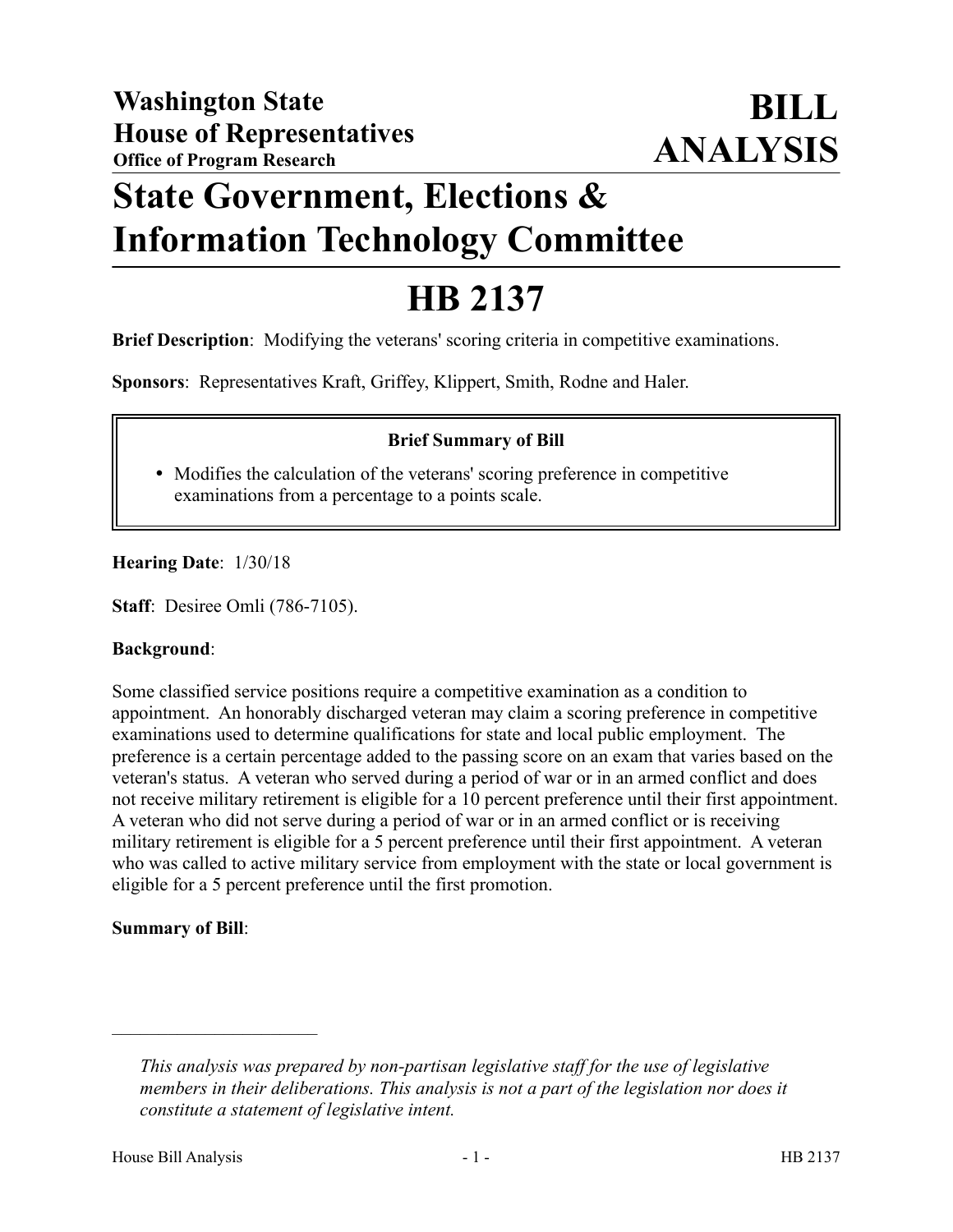# **State Government, Elections & Information Technology Committee**

# **HB 2137**

**Brief Description**: Modifying the veterans' scoring criteria in competitive examinations.

**Sponsors**: Representatives Kraft, Griffey, Klippert, Smith, Rodne and Haler.

## **Brief Summary of Bill**

 Modifies the calculation of the veterans' scoring preference in competitive examinations from a percentage to a points scale.

**Hearing Date**: 1/30/18

**Staff**: Desiree Omli (786-7105).

### **Background**:

Some classified service positions require a competitive examination as a condition to appointment. An honorably discharged veteran may claim a scoring preference in competitive examinations used to determine qualifications for state and local public employment. The preference is a certain percentage added to the passing score on an exam that varies based on the veteran's status. A veteran who served during a period of war or in an armed conflict and does not receive military retirement is eligible for a 10 percent preference until their first appointment. A veteran who did not serve during a period of war or in an armed conflict or is receiving military retirement is eligible for a 5 percent preference until their first appointment. A veteran who was called to active military service from employment with the state or local government is eligible for a 5 percent preference until the first promotion.

### **Summary of Bill**:

––––––––––––––––––––––

*This analysis was prepared by non-partisan legislative staff for the use of legislative members in their deliberations. This analysis is not a part of the legislation nor does it constitute a statement of legislative intent.*